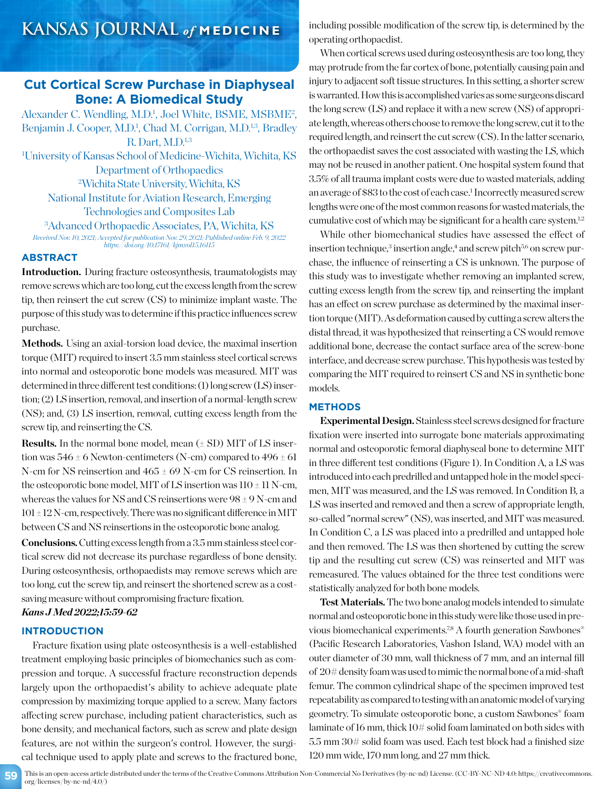## **Cut Cortical Screw Purchase in Diaphyseal Bone: A Biomedical Study**

Alexander C. Wendling, M.D.<sup>1</sup>, Joel White, BSME, MSBME<sup>2</sup>, Benjamin J. Cooper, M.D.<sup>1</sup>, Chad M. Corrigan, M.D.<sup>1,3</sup>, Bradley R. Dart, M.D.<sup>1,3</sup> 1 University of Kansas School of Medicine-Wichita, Wichita, KS Department of Orthopaedics 2 Wichita State University, Wichita, KS

National Institute for Aviation Research, Emerging Technologies and Composites Lab

3 Advanced Orthopaedic Associates, PA, Wichita, KS *Received Nov. 10, 2021; Accepted for publication Nov. 29, 2021; Published online Feb. 9, 2022 https://doi.org/10.17161/kjm.vol15.16115*

### **ABSTRACT**

**Introduction.** During fracture osteosynthesis, traumatologists may remove screws which are too long, cut the excess length from the screw tip, then reinsert the cut screw (CS) to minimize implant waste. The purpose of this study was to determine if this practice influences screw purchase.

Methods. Using an axial-torsion load device, the maximal insertion torque (MIT) required to insert 3.5 mm stainless steel cortical screws into normal and osteoporotic bone models was measured. MIT was determined in three different test conditions: (1) long screw (LS) insertion; (2) LS insertion, removal, and insertion of a normal-length screw (NS); and, (3) LS insertion, removal, cutting excess length from the screw tip, and reinserting the CS.

**Results.** In the normal bone model, mean (± SD) MIT of LS insertion was  $546 \pm 6$  Newton-centimeters (N-cm) compared to  $496 \pm 61$ N-cm for NS reinsertion and 465 ± 69 N-cm for CS reinsertion. In the osteoporotic bone model, MIT of LS insertion was  $110 \pm 11$  N-cm, whereas the values for NS and CS reinsertions were 98 ± 9 N-cm and  $101 \pm 12$  N-cm, respectively. There was no significant difference in MIT between CS and NS reinsertions in the osteoporotic bone analog.

**Conclusions.**Cutting excess length from a 3.5 mm stainless steel cortical screw did not decrease its purchase regardless of bone density. During osteosynthesis, orthopaedists may remove screws which are too long, cut the screw tip, and reinsert the shortened screw as a costsaving measure without compromising fracture fixation.

## *Kans J Med 2022;15:59-62*

#### **INTRODUCTION**

Fracture fixation using plate osteosynthesis is a well-established treatment employing basic principles of biomechanics such as compression and torque. A successful fracture reconstruction depends largely upon the orthopaedist's ability to achieve adequate plate compression by maximizing torque applied to a screw. Many factors affecting screw purchase, including patient characteristics, such as bone density, and mechanical factors, such as screw and plate design features, are not within the surgeon's control. However, the surgical technique used to apply plate and screws to the fractured bone,

including possible modification of the screw tip, is determined by the operating orthopaedist.

When cortical screws used during osteosynthesis are too long, they may protrude from the far cortex of bone, potentially causing pain and injury to adjacent soft tissue structures. In this setting, a shorter screw is warranted. How this is accomplished varies as some surgeons discard the long screw (LS) and replace it with a new screw (NS) of appropriate length, whereas others choose to remove the long screw, cut it to the required length, and reinsert the cut screw (CS). In the latter scenario, the orthopaedist saves the cost associated with wasting the LS, which may not be reused in another patient. One hospital system found that 3.5% of all trauma implant costs were due to wasted materials, adding an average of \$83 to the cost of each case.<sup>1</sup> Incorrectly measured screw lengths were one of the most common reasons for wasted materials, the cumulative cost of which may be significant for a health care system.<sup>1,2</sup>

While other biomechanical studies have assessed the effect of insertion technique,<sup>3</sup> insertion angle,<sup>4</sup> and screw pitch<sup>5,6</sup> on screw purchase, the influence of reinserting a CS is unknown. The purpose of this study was to investigate whether removing an implanted screw, cutting excess length from the screw tip, and reinserting the implant has an effect on screw purchase as determined by the maximal insertion torque (MIT). As deformation caused by cutting a screw alters the distal thread, it was hypothesized that reinserting a CS would remove additional bone, decrease the contact surface area of the screw-bone interface, and decrease screw purchase. This hypothesis was tested by comparing the MIT required to reinsert CS and NS in synthetic bone models.

#### **METHODS**

**Experimental Design.** Stainless steel screws designed for fracture fixation were inserted into surrogate bone materials approximating normal and osteoporotic femoral diaphyseal bone to determine MIT in three different test conditions (Figure 1). In Condition A, a LS was introduced into each predrilled and untapped hole in the model specimen, MIT was measured, and the LS was removed. In Condition B, a LS was inserted and removed and then a screw of appropriate length, so-called "normal screw" (NS), was inserted, and MIT was measured. In Condition C, a LS was placed into a predrilled and untapped hole and then removed. The LS was then shortened by cutting the screw tip and the resulting cut screw (CS) was reinserted and MIT was remeasured. The values obtained for the three test conditions were statistically analyzed for both bone models.

**Test Materials.** The two bone analog models intended to simulate normal and osteoporotic bone in this study were like those used in previous biomechanical experiments.<sup>7,8</sup> A fourth generation Sawbones® (Pacific Research Laboratories, Vashon Island, WA) model with an outer diameter of 30 mm, wall thickness of 7 mm, and an internal fill of 20# density foam was used to mimic the normal bone of a mid-shaft femur. The common cylindrical shape of the specimen improved test repeatability as compared to testing with an anatomic model of varying geometry. To simulate osteoporotic bone, a custom Sawbones® foam laminate of 16 mm, thick 10# solid foam laminated on both sides with 5.5 mm 30# solid foam was used. Each test block had a finished size 120 mm wide, 170 mm long, and 27 mm thick.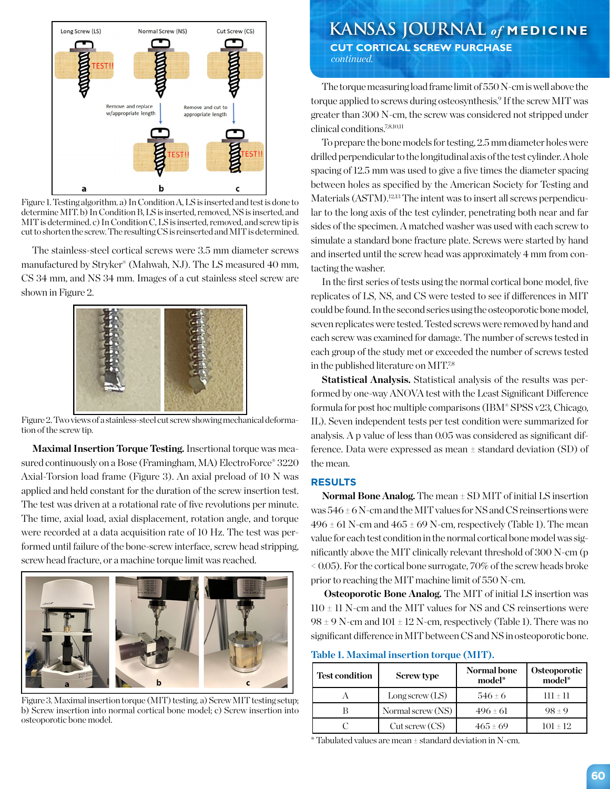

Figure 1. Testing algorithm. a) In Condition A, LS is inserted and test is done to determine MIT. b) In Condition B, LS is inserted, removed, NS is inserted, and MIT is determined. c) In Condition C, LS is inserted, removed, and screw tip is cut to shorten the screw. The resulting CS is reinserted and MIT is determined.

The stainless-steel cortical screws were 3.5 mm diameter screws manufactured by Stryker® (Mahwah, NJ). The LS measured 40 mm, CS 34 mm, and NS 34 mm. Images of a cut stainless steel screw are shown in Figure 2.



Figure 2. Two views of a stainless-steel cut screw showing mechanical deformation of the screw tip.

**Maximal Insertion Torque Testing.** Insertional torque was measured continuously on a Bose (Framingham, MA) ElectroForce® 3220 Axial-Torsion load frame (Figure 3). An axial preload of 10 N was applied and held constant for the duration of the screw insertion test. The test was driven at a rotational rate of five revolutions per minute. The time, axial load, axial displacement, rotation angle, and torque were recorded at a data acquisition rate of 10 Hz. The test was performed until failure of the bone-screw interface, screw head stripping, screw head fracture, or a machine torque limit was reached.



Figure 3. Maximal insertion torque (MIT) testing. a) Screw MIT testing setup; b) Screw insertion into normal cortical bone model; c) Screw insertion into osteoporotic bone model.

# **KANSAS JOURNAL** *of* **MEDICINE**

 **CUT CORTICAL SCREW PURCHASE** *continued.*

The torque measuring load frame limit of 550 N-cm is well above the torque applied to screws during osteosynthesis.9 If the screw MIT was greater than 300 N-cm, the screw was considered not stripped under clinical conditions.7,8,10,11

To prepare the bone models for testing, 2.5 mm diameter holes were drilled perpendicular to the longitudinal axis of the test cylinder. A hole spacing of 12.5 mm was used to give a five times the diameter spacing between holes as specified by the American Society for Testing and Materials (ASTM).<sup>12,13</sup> The intent was to insert all screws perpendicular to the long axis of the test cylinder, penetrating both near and far sides of the specimen. A matched washer was used with each screw to simulate a standard bone fracture plate. Screws were started by hand and inserted until the screw head was approximately 4 mm from contacting the washer.

In the first series of tests using the normal cortical bone model, five replicates of LS, NS, and CS were tested to see if differences in MIT could be found. In the second series using the osteoporotic bone model, seven replicates were tested. Tested screws were removed by hand and each screw was examined for damage. The number of screws tested in each group of the study met or exceeded the number of screws tested in the published literature on MIT.7,8

**Statistical Analysis.** Statistical analysis of the results was performed by one-way ANOVA test with the Least Significant Difference formula for post hoc multiple comparisons (IBM® SPSS v23, Chicago, IL). Seven independent tests per test condition were summarized for analysis. A p value of less than 0.05 was considered as significant difference. Data were expressed as mean ± standard deviation (SD) of the mean.

#### **RESULTS**

**Normal Bone Analog.** The mean ± SD MIT of initial LS insertion was  $546 \pm 6$  N-cm and the MIT values for NS and CS reinsertions were  $496 \pm 61$  N-cm and  $465 \pm 69$  N-cm, respectively (Table 1). The mean value for each test condition in the normal cortical bone model was significantly above the MIT clinically relevant threshold of 300 N-cm (p  $\leq$  0.05). For the cortical bone surrogate, 70% of the screw heads broke prior to reaching the MIT machine limit of 550 N-cm.

**Osteoporotic Bone Analog.** The MIT of initial LS insertion was  $110 \pm 11$  N-cm and the MIT values for NS and CS reinsertions were  $98 \pm 9$  N-cm and  $101 \pm 12$  N-cm, respectively (Table 1). There was no significant difference in MIT between CS and NS in osteoporotic bone.

**Table 1. Maximal insertion torque (MIT).**

| <b>Test condition</b> | <b>Screw type</b>  | Normal bone<br>model* | <b>Osteoporotic</b><br>model* |
|-----------------------|--------------------|-----------------------|-------------------------------|
|                       | Long screw $(LS)$  | $546+6$               | $111 + 11$                    |
|                       | Normal screw (NS)  | $496 \pm 61$          | $98 + 9$                      |
|                       | $Cut$ screw $(CS)$ | $465+69$              | $101 + 12$                    |

\* Tabulated values are mean ± standard deviation in N-cm.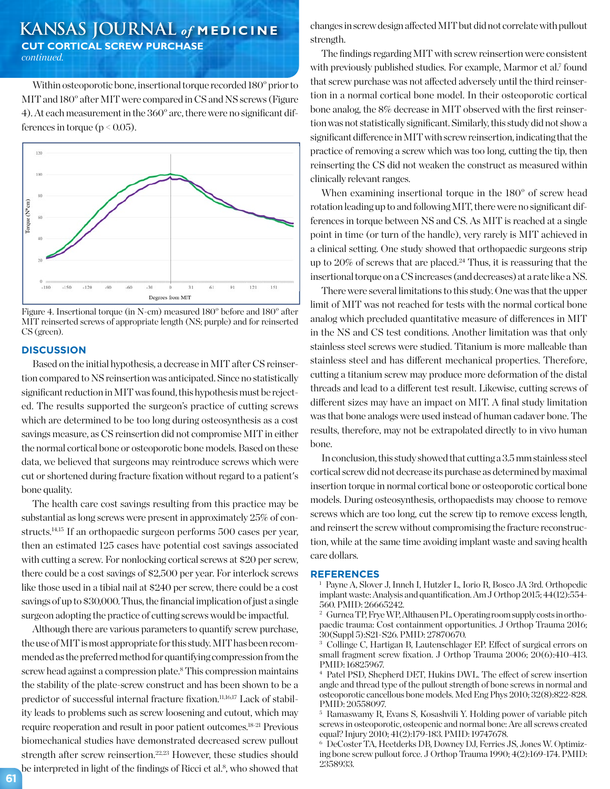## **KANSAS JOURNAL** *of* **MEDICINE CUT CORTICAL SCREW PURCHASE** *continued.*

Within osteoporotic bone, insertional torque recorded 180° prior to MIT and 180° after MIT were compared in CS and NS screws (Figure 4). At each measurement in the 360° arc, there were no significant differences in torque ( $p < 0.05$ ).



Figure 4. Insertional torque (in N-cm) measured 180° before and 180° after MIT reinserted screws of appropriate length (NS; purple) and for reinserted CS (green).

#### **DISCUSSION**

Based on the initial hypothesis, a decrease in MIT after CS reinsertion compared to NS reinsertion was anticipated. Since no statistically significant reduction in MIT was found, this hypothesis must be rejected. The results supported the surgeon's practice of cutting screws which are determined to be too long during osteosynthesis as a cost savings measure, as CS reinsertion did not compromise MIT in either the normal cortical bone or osteoporotic bone models. Based on these data, we believed that surgeons may reintroduce screws which were cut or shortened during fracture fixation without regard to a patient's bone quality.

The health care cost savings resulting from this practice may be substantial as long screws were present in approximately 25% of constructs.14,15 If an orthopaedic surgeon performs 500 cases per year, then an estimated 125 cases have potential cost savings associated with cutting a screw. For nonlocking cortical screws at \$20 per screw, there could be a cost savings of \$2,500 per year. For interlock screws like those used in a tibial nail at \$240 per screw, there could be a cost savings of up to \$30,000. Thus, the financial implication of just a single surgeon adopting the practice of cutting screws would be impactful.

Although there are various parameters to quantify screw purchase, the use of MIT is most appropriate for this study. MIT has been recommended as the preferred method for quantifying compression from the screw head against a compression plate.<sup>8</sup> This compression maintains the stability of the plate-screw construct and has been shown to be a predictor of successful internal fracture fixation.<sup>11,16,17</sup> Lack of stability leads to problems such as screw loosening and cutout, which may require reoperation and result in poor patient outcomes.18-21 Previous biomechanical studies have demonstrated decreased screw pullout strength after screw reinsertion.<sup>22,23</sup> However, these studies should be interpreted in light of the findings of Ricci et al.<sup>8</sup>, who showed that changes in screw design affected MIT but did not correlate with pullout strength.

The findings regarding MIT with screw reinsertion were consistent with previously published studies. For example, Marmor et al.<sup>7</sup> found that screw purchase was not affected adversely until the third reinsertion in a normal cortical bone model. In their osteoporotic cortical bone analog, the 8% decrease in MIT observed with the first reinsertion was not statistically significant. Similarly, this study did not show a significant difference in MIT with screw reinsertion, indicating that the practice of removing a screw which was too long, cutting the tip, then reinserting the CS did not weaken the construct as measured within clinically relevant ranges.

When examining insertional torque in the 180° of screw head rotation leading up to and following MIT, there were no significant differences in torque between NS and CS. As MIT is reached at a single point in time (or turn of the handle), very rarely is MIT achieved in a clinical setting. One study showed that orthopaedic surgeons strip up to 20% of screws that are placed.24 Thus, it is reassuring that the insertional torque on a CS increases (and decreases) at a rate like a NS.

There were several limitations to this study. One was that the upper limit of MIT was not reached for tests with the normal cortical bone analog which precluded quantitative measure of differences in MIT in the NS and CS test conditions. Another limitation was that only stainless steel screws were studied. Titanium is more malleable than stainless steel and has different mechanical properties. Therefore, cutting a titanium screw may produce more deformation of the distal threads and lead to a different test result. Likewise, cutting screws of different sizes may have an impact on MIT. A final study limitation was that bone analogs were used instead of human cadaver bone. The results, therefore, may not be extrapolated directly to in vivo human bone.

In conclusion, this study showed that cutting a 3.5 mm stainless steel cortical screw did not decrease its purchase as determined by maximal insertion torque in normal cortical bone or osteoporotic cortical bone models. During osteosynthesis, orthopaedists may choose to remove screws which are too long, cut the screw tip to remove excess length, and reinsert the screw without compromising the fracture reconstruction, while at the same time avoiding implant waste and saving health care dollars.

#### **REFERENCES**

<sup>1</sup> Payne A, Slover J, Inneh I, Hutzler L, Iorio R, Bosco JA 3rd. Orthopedic implant waste: Analysis and quantification. Am J Orthop 2015; 44(12):554- 560. PMID: 26665242.

<sup>2</sup> Gurnea TP, Frye WP, Althausen PL. Operating room supply costs in orthopaedic trauma: Cost containment opportunities. J Orthop Trauma 2016; 30(Suppl 5):S21-S26. PMID: 27870670.

<sup>3</sup> Collinge C, Hartigan B, Lautenschlager EP. Effect of surgical errors on small fragment screw fixation. J Orthop Trauma 2006; 20(6):410-413. PMID: 16825967.

<sup>4</sup> Patel PSD, Shepherd DET, Hukins DWL. The effect of screw insertion angle and thread type of the pullout strength of bone screws in normal and osteoporotic cancellous bone models. Med Eng Phys 2010; 32(8):822-828. PMID: 20558097.

<sup>5</sup> Ramaswamy R, Evans S, Kosashvili Y. Holding power of variable pitch screws in osteoporotic, osteopenic and normal bone: Are all screws created equal? Injury 2010; 41(2):179-183. PMID: 19747678.

<sup>6</sup> DeCoster TA, Heetderks DB, Downey DJ, Ferries JS, Jones W. Optimizing bone screw pullout force. J Orthop Trauma 1990; 4(2):169-174. PMID: 2358933.